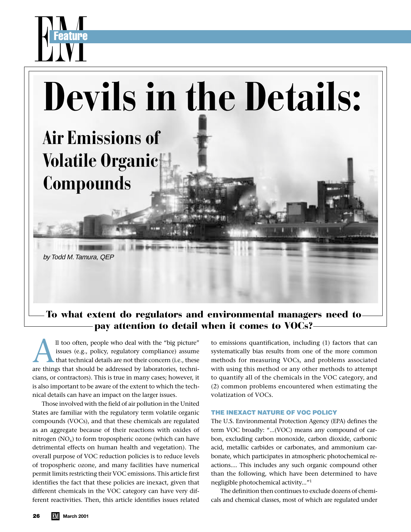

# To what extent do regulators and environmental managers need to pay attention to detail when it comes to VOCs?

All too often, people who deal with the "big picture" issues (e.g., policy, regulatory compliance) assume that technical details are not their concern (i.e., these are things that should be addressed by laboratories, technicians, or contractors). This is true in many cases; however, it is also important to be aware of the extent to which the technical details can have an impact on the larger issues.

Those involved with the field of air pollution in the United States are familiar with the regulatory term volatile organic compounds (VOCs), and that these chemicals are regulated as an aggregate because of their reactions with oxides of nitrogen  $(NO_x)$  to form tropospheric ozone (which can have detrimental effects on human health and vegetation). The overall purpose of VOC reduction policies is to reduce levels of tropospheric ozone, and many facilities have numerical permit limits restricting their VOC emissions. This article first identifies the fact that these policies are inexact, given that different chemicals in the VOC category can have very different reactivities. Then, this article identifies issues related

to emissions quantification, including (1) factors that can systematically bias results from one of the more common methods for measuring VOCs, and problems associated with using this method or any other methods to attempt to quantify all of the chemicals in the VOC category, and (2) common problems encountered when estimating the volatization of VOCs.

### **THE INEXACT NATURE OF VOC POLICY**

The U.S. Environmental Protection Agency (EPA) defines the term VOC broadly: "...(VOC) means any compound of carbon, excluding carbon monoxide, carbon dioxide, carbonic acid, metallic carbides or carbonates, and ammonium carbonate, which participates in atmospheric photochemical reactions.... This includes any such organic compound other than the following, which have been determined to have negligible photochemical activity..."1

The definition then continues to exclude dozens of chemicals and chemical classes, most of which are regulated under

**Example 2**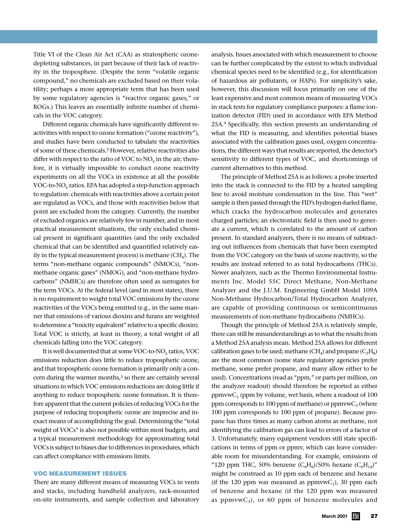Title VI of the Clean Air Act (CAA) as stratospheric ozonedepleting substances, in part because of their lack of reactivity in the troposphere. (Despite the term "volatile organic compound," no chemicals are excluded based on their volatility; perhaps a more appropriate term that has been used by some regulatory agencies is "reactive organic gases," or ROGs.) This leaves an essentially infinite number of chemicals in the VOC category.

Different organic chemicals have significantly different reactivities with respect to ozone formation ("ozone reactivity"), and studies have been conducted to tabulate the reactivities of some of these chemicals.2 However, relative reactivities also differ with respect to the ratio of VOC to  $NO<sub>x</sub>$  in the air; therefore, it is virtually impossible to conduct ozone reactivity experiments on all the VOCs in existence at all the possible VOC-to-NOx ratios. EPA has adopted a step-function approach to regulation: chemicals with reactivities above a certain point are regulated as VOCs, and those with reactivities below that point are excluded from the category. Currently, the number of excluded organics are relatively few in number, and in most practical measurement situations, the only excluded chemical present in significant quantities (and the only excluded chemical that can be identified and quantified relatively easily in the typical measurement process) is methane  $(CH_4)$ . The terms "non-methane organic compounds" (NMOCs), "nonmethane organic gases" (NMOG), and "non-methane hydrocarbons" (NMHCs) are therefore often used as surrogates for the term VOCs. At the federal level (and in most states), there is no requirement to weight total VOC emissions by the ozone reactivities of the VOCs being emitted (e.g., in the same manner that emissions of various dioxins and furans are weighted to determine a "toxicity equivalent" relative to a specific dioxin). Total VOC is strictly, at least in theory, a total weight of all chemicals falling into the VOC category.

It is well documented that at some VOC-to- $NO<sub>x</sub>$  ratios, VOC emissions reduction does little to reduce tropospheric ozone, and that tropospheric ozone formation is primarily only a concern during the warmer months,<sup>3</sup> so there are certainly several situations in which VOC emissions reductions are doing little if anything to reduce tropospheric ozone formation. It is therefore apparent that the current policies of reducing VOCs for the purpose of reducing tropospheric ozone are imprecise and inexact means of accomplishing the goal. Determining the "total weight of VOCs" is also not possible within most budgets, and a typical measurement methodology for approximating total VOCs is subject to biases due to differences in procedures, which can affect compliance with emissions limits.

### **VOC MEASUREMENT ISSUES**

There are many different means of measuring VOCs in vents and stacks, including handheld analyzers, rack-mounted on-site instruments, and sample collection and laboratory analysis. Issues associated with which measurement to choose can be further complicated by the extent to which individual chemical species need to be identified (e.g., for identification of hazardous air pollutants, or HAPs). For simplicity's sake, however, this discussion will focus primarily on one of the least expensive and most common means of measuring VOCs in stack tests for regulatory compliance purposes: a flame ionization detector (FID) used in accordance with EPA Method 25A.4 Specifically, this section presents an understanding of what the FID is measuring, and identifies potential biases associated with the calibration gases used, oxygen concentrations, the different ways that results are reported, the detector's sensitivity to different types of VOC, and shortcomings of current alternatives to this method.

The principle of Method 25A is as follows: a probe inserted into the stack is connected to the FID by a heated sampling line to avoid moisture condensation in the line. This "wet" sample is then passed through the FID's hydrogen-fueled flame, which cracks the hydrocarbon molecules and generates charged particles; an electrostatic field is then used to generate a current, which is correlated to the amount of carbon present. In standard analyzers, there is no means of subtracting out influences from chemicals that have been exempted from the VOC category on the basis of ozone reactivity, so the results are instead referred to as total hydrocarbons (THCs). Newer analyzers, such as the Thermo Environmental Instruments Inc. Model 55C Direct Methane, Non-Methane Analyzer and the J.U.M. Engineering GmbH Model 109A Non-Methane Hydrocarbon/Total Hydrocarbon Analyzer, are capable of providing continuous or semicontinuous measurements of non-methane hydrocarbons (NMHCs).

Though the principle of Method 25A is relatively simple, there can still be misunderstandings as to what the results from a Method 25A analysis mean. Method 25A allows for different calibration gases to be used; methane (CH<sub>4</sub>) and propane (C<sub>3</sub>H<sub>8</sub>) are the most common (some state regulatory agencies prefer methane, some prefer propane, and many allow either to be used). Concentrations (read as "ppm," or parts per million, on the analyzer readout) should therefore be reported as either ppmvw $C_1$  (ppm by volume, wet basis, where a readout of 100 ppm corresponds to 100 ppm of methane) or ppmvw $C_3$  (where 100 ppm corresponds to 100 ppm of propane). Because propane has three times as many carbon atoms as methane, not identifying the calibration gas can lead to errors of a factor of 3. Unfortunately, many equipment vendors still state specifications in terms of ppm or ppmv, which can leave considerable room for misunderstanding. For example, emissions of "120 ppm THC, 50% benzene  $(C_6H_6)/50\%$  hexane  $(C_6H_{14})''$ might be construed as 10 ppm each of benzene and hexane (if the 120 ppm was measured as  $ppmvwC_1$ ), 30 ppm each of benzene and hexane (if the 120 ppm was measured as ppmvw $C_3$ , or 60 ppm of benzene molecules and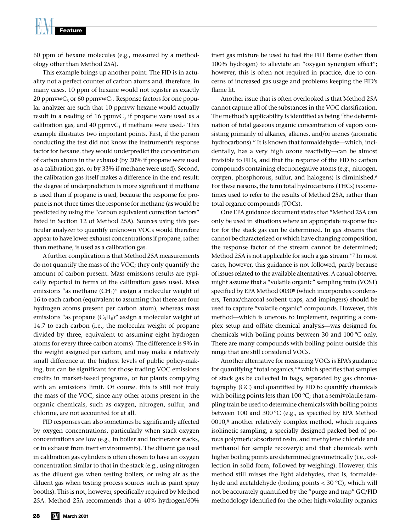60 ppm of hexane molecules (e.g., measured by a methodology other than Method 25A).

This example brings up another point: The FID is in actuality not a perfect counter of carbon atoms and, therefore, in many cases, 10 ppm of hexane would not register as exactly 20 ppmvw $C_3$  or 60 ppmvw $C_1$ . Response factors for one popular analyzer are such that 10 ppmvw hexane would actually result in a reading of 16 ppmv $C_3$  if propane were used as a calibration gas, and 40 ppmv $C_1$  if methane were used.<sup>5</sup> This example illustrates two important points. First, if the person conducting the test did not know the instrument's response factor for hexane, they would underpredict the concentration of carbon atoms in the exhaust (by 20% if propane were used as a calibration gas, or by 33% if methane were used). Second, the calibration gas itself makes a difference in the end result: the degree of underprediction is more significant if methane is used than if propane is used, because the response for propane is not three times the response for methane (as would be predicted by using the "carbon equivalent correction factors" listed in Section 12 of Method 25A). Sources using this particular analyzer to quantify unknown VOCs would therefore appear to have lower exhaust concentrations if propane, rather than methane, is used as a calibration gas.

A further complication is that Method 25A measurements do not quantify the mass of the VOC; they only quantify the amount of carbon present. Mass emissions results are typically reported in terms of the calibration gases used. Mass emissions "as methane  $(CH<sub>4</sub>)$ " assign a molecular weight of 16 to each carbon (equivalent to assuming that there are four hydrogen atoms present per carbon atom), whereas mass emissions "as propane  $(C_3H_8)$ " assign a molecular weight of 14.7 to each carbon (i.e., the molecular weight of propane divided by three, equivalent to assuming eight hydrogen atoms for every three carbon atoms). The difference is 9% in the weight assigned per carbon, and may make a relatively small difference at the highest levels of public policy-making, but can be significant for those trading VOC emissions credits in market-based programs, or for plants complying with an emissions limit. Of course, this is still not truly the mass of the VOC, since any other atoms present in the organic chemicals, such as oxygen, nitrogen, sulfur, and chlorine, are not accounted for at all.

FID responses can also sometimes be significantly affected by oxygen concentrations, particularly when stack oxygen concentrations are low (e.g., in boiler and incinerator stacks, or in exhaust from inert environments). The diluent gas used in calibration gas cylinders is often chosen to have an oxygen concentration similar to that in the stack (e.g., using nitrogen as the diluent gas when testing boilers, or using air as the diluent gas when testing process sources such as paint spray booths). This is not, however, specifically required by Method 25A. Method 25A recommends that a 40% hydrogen/60% inert gas mixture be used to fuel the FID flame (rather than 100% hydrogen) to alleviate an "oxygen synergism effect"; however, this is often not required in practice, due to concerns of increased gas usage and problems keeping the FID's flame lit.

Another issue that is often overlooked is that Method 25A cannot capture all of the substances in the VOC classification. The method's applicability is identified as being "the determination of total gaseous organic concentration of vapors consisting primarily of alkanes, alkenes, and/or arenes (aromatic hydrocarbons)." It is known that formaldehyde—which, incidentally, has a very high ozone reactivity—can be almost invisible to FIDs, and that the response of the FID to carbon compounds containing electronegative atoms (e.g., nitrogen, oxygen, phosphorous, sulfur, and halogens) is diminished.6 For these reasons, the term total hydrocarbons (THCs) is sometimes used to refer to the results of Method 25A, rather than total organic compounds (TOCs).

One EPA guidance document states that "Method 25A can only be used in situations where an appropriate response factor for the stack gas can be determined. In gas streams that cannot be characterized or which have changing composition, the response factor of the stream cannot be determined; Method 25A is not applicable for such a gas stream."7 In most cases, however, this guidance is not followed, partly because of issues related to the available alternatives. A casual observer might assume that a "volatile organic" sampling train (VOST) specified by EPA Method 00308 (which incorporates condensers, Tenax/charcoal sorbent traps, and impingers) should be used to capture "volatile organic" compounds. However, this method—which is onerous to implement, requiring a complex setup and offsite chemical analysis—was designed for chemicals with boiling points between 30 and 100 ºC only. There are many compounds with boiling points outside this range that are still considered VOCs.

Another alternative for measuring VOCs is EPA's guidance for quantifying "total organics,"9 which specifies that samples of stack gas be collected in bags, separated by gas chromatography (GC) and quantified by FID to quantify chemicals with boiling points less than 100 °C; that a semivolatile sampling train be used to determine chemicals with boiling points between 100 and 300 ºC (e.g., as specified by EPA Method 0010,8 another relatively complex method, which requires isokinetic sampling, a specially designed packed bed of porous polymeric absorbent resin, and methylene chloride and methanol for sample recovery); and that chemicals with higher boiling points are determined gravimetrically (i.e., collection in solid form, followed by weighing). However, this method still misses the light aldehydes, that is, formaldehyde and acetaldehyde (boiling points < 30 ºC), which will not be accurately quantified by the "purge and trap" GC/FID methodology identified for the other high-volatility organics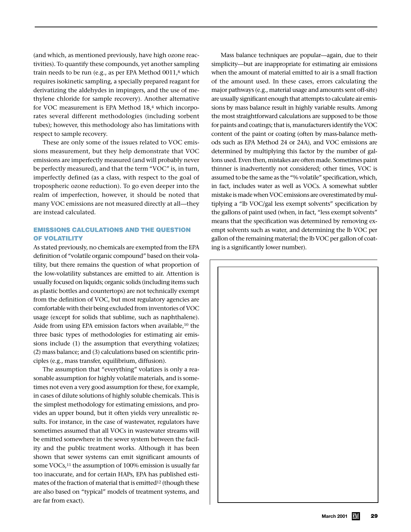(and which, as mentioned previously, have high ozone reactivities). To quantify these compounds, yet another sampling train needs to be run (e.g., as per EPA Method 0011,<sup>8</sup> which requires isokinetic sampling, a specially prepared reagant for derivatizing the aldehydes in impingers, and the use of methylene chloride for sample recovery). Another alternative for VOC measurement is EPA Method 18,<sup>4</sup> which incorporates several different methodologies (including sorbent tubes); however, this methodology also has limitations with respect to sample recovery.

These are only some of the issues related to VOC emissions measurement, but they help demonstrate that VOC emissions are imperfectly measured (and will probably never be perfectly measured), and that the term "VOC" is, in turn, imperfectly defined (as a class, with respect to the goal of tropospheric ozone reduction). To go even deeper into the realm of imperfection, however, it should be noted that many VOC emissions are not measured directly at all—they are instead calculated.

## **EMISSIONS CALCULATIONS AND THE QUESTION OF VOLATILITY**

As stated previously, no chemicals are exempted from the EPA definition of "volatile organic compound" based on their volatility, but there remains the question of what proportion of the low-volatility substances are emitted to air. Attention is usually focused on liquids; organic solids (including items such as plastic bottles and countertops) are not technically exempt from the definition of VOC, but most regulatory agencies are comfortable with their being excluded from inventories of VOC usage (except for solids that sublime, such as naphthalene). Aside from using EPA emission factors when available,<sup>10</sup> the three basic types of methodologies for estimating air emissions include (1) the assumption that everything volatizes; (2) mass balance; and (3) calculations based on scientific principles (e.g., mass transfer, equilibrium, diffusion).

The assumption that "everything" volatizes is only a reasonable assumption for highly volatile materials, and is sometimes not even a very good assumption for these, for example, in cases of dilute solutions of highly soluble chemicals. This is the simplest methodology for estimating emissions, and provides an upper bound, but it often yields very unrealistic results. For instance, in the case of wastewater, regulators have sometimes assumed that all VOCs in wastewater streams will be emitted somewhere in the sewer system between the facility and the public treatment works. Although it has been shown that sewer systems can emit significant amounts of some VOCs,<sup>11</sup> the assumption of 100% emission is usually far too inaccurate, and for certain HAPs, EPA has published estimates of the fraction of material that is emitted<sup>12</sup> (though these are also based on "typical" models of treatment systems, and are far from exact).

Mass balance techniques are popular—again, due to their simplicity—but are inappropriate for estimating air emissions when the amount of material emitted to air is a small fraction of the amount used. In these cases, errors calculating the major pathways (e.g., material usage and amounts sent off-site) are usually significant enough that attempts to calculate air emissions by mass balance result in highly variable results. Among the most straightforward calculations are supposed to be those for paints and coatings; that is, manufacturers identify the VOC content of the paint or coating (often by mass-balance methods such as EPA Method 24 or 24A), and VOC emissions are determined by multiplying this factor by the number of gallons used. Even then, mistakes are often made. Sometimes paint thinner is inadvertently not considered; other times, VOC is assumed to be the same as the "% volatile" specification, which, in fact, includes water as well as VOCs. A somewhat subtler mistake is made when VOC emissions are overestimated by multiplying a "lb VOC/gal less exempt solvents" specification by the gallons of paint used (when, in fact, "less exempt solvents" means that the specification was determined by removing exempt solvents such as water, and determining the lb VOC per gallon of the remaining material; the lb VOC per gallon of coating is a significantly lower number).

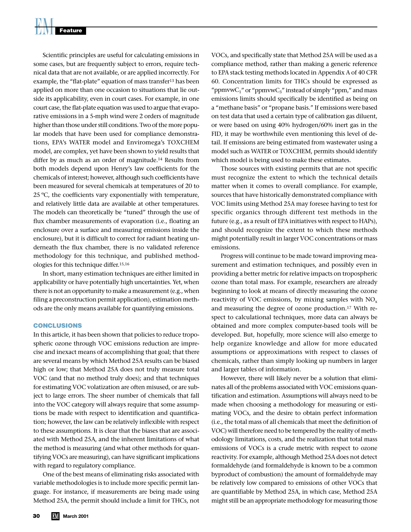Scientific principles are useful for calculating emissions in some cases, but are frequently subject to errors, require technical data that are not available, or are applied incorrectly. For example, the "flat-plate" equation of mass transfer<sup>13</sup> has been applied on more than one occasion to situations that lie outside its applicability, even in court cases. For example, in one court case, the flat-plate equation was used to argue that evaporative emissions in a 5-mph wind were 2 orders of magnitude higher than those under still conditions. Two of the more popular models that have been used for compliance demonstrations, EPA's WATER model and Enviromega's TOXCHEM model, are complex, yet have been shown to yield results that differ by as much as an order of magnitude.<sup>14</sup> Results from both models depend upon Henry's law coefficients for the chemicals of interest; however, although such coefficients have been measured for several chemicals at temperatures of 20 to 25 ºC, the coefficients vary exponentially with temperature, and relatively little data are available at other temperatures. The models can theoretically be "tuned" through the use of flux chamber measurements of evaporation (i.e., floating an enclosure over a surface and measuring emissions inside the enclosure), but it is difficult to correct for radiant heating underneath the flux chamber, there is no validated reference methodology for this technique, and published methodologies for this technique differ.15,16

In short, many estimation techniques are either limited in applicability or have potentially high uncertainties. Yet, when there is not an opportunity to make a measurement (e.g., when filing a preconstruction permit application), estimation methods are the only means available for quantifying emissions.

### **CONCLUSIONS**

In this article, it has been shown that policies to reduce tropospheric ozone through VOC emissions reduction are imprecise and inexact means of accomplishing that goal; that there are several means by which Method 25A results can be biased high or low; that Method 25A does not truly measure total VOC (and that no method truly does); and that techniques for estimating VOC volatization are often misused, or are subject to large errors. The sheer number of chemicals that fall into the VOC category will always require that some assumptions be made with respect to identification and quantification; however, the law can be relatively inflexible with respect to these assumptions. It is clear that the biases that are associated with Method 25A, and the inherent limitations of what the method is measuring (and what other methods for quantifying VOCs are measuring), can have significant implications with regard to regulatory compliance.

One of the best means of eliminating risks associated with variable methodologies is to include more specific permit language. For instance, if measurements are being made using Method 25A, the permit should include a limit for THCs, not VOCs, and specifically state that Method 25A will be used as a compliance method, rather than making a generic reference to EPA stack testing methods located in Appendix A of 40 CFR 60. Concentration limits for THCs should be expressed as "ppmvw $C_1$ " or "ppmvw $C_3$ " instead of simply "ppm," and mass emissions limits should specifically be identified as being on a "methane basis" or "propane basis." If emissions were based on test data that used a certain type of calibration gas diluent, or were based on using 40% hydrogen/60% inert gas in the FID, it may be worthwhile even mentioning this level of detail. If emissions are being estimated from wastewater using a model such as WATER or TOXCHEM, permits should identify which model is being used to make these estimates.

Those sources with existing permits that are not specific must recognize the extent to which the technical details matter when it comes to overall compliance. For example, sources that have historically demonstrated compliance with VOC limits using Method 25A may foresee having to test for specific organics through different test methods in the future (e.g., as a result of EPA initiatives with respect to HAPs), and should recognize the extent to which these methods might potentially result in larger VOC concentrations or mass emissions.

Progress will continue to be made toward improving measurement and estimation techniques, and possibly even in providing a better metric for relative impacts on tropospheric ozone than total mass. For example, researchers are already beginning to look at means of directly measuring the ozone reactivity of VOC emissions, by mixing samples with  $NO<sub>x</sub>$ and measuring the degree of ozone production.17 With respect to calculational techniques, more data can always be obtained and more complex computer-based tools will be developed. But, hopefully, more science will also emerge to help organize knowledge and allow for more educated assumptions or approximations with respect to classes of chemicals, rather than simply looking up numbers in larger and larger tables of information.

However, there will likely never be a solution that eliminates all of the problems associated with VOC emissions quantification and estimation. Assumptions will always need to be made when choosing a methodology for measuring or estimating VOCs, and the desire to obtain perfect information (i.e., the total mass of all chemicals that meet the definition of VOC) will therefore need to be tempered by the reality of methodology limitations, costs, and the realization that total mass emissions of VOCs is a crude metric with respect to ozone reactivity. For example, although Method 25A does not detect formaldehyde (and formaldehyde is known to be a common byproduct of combustion) the amount of formaldehyde may be relatively low compared to emissions of other VOCs that are quantifiable by Method 25A, in which case, Method 25A might still be an appropriate methodology for measuring those